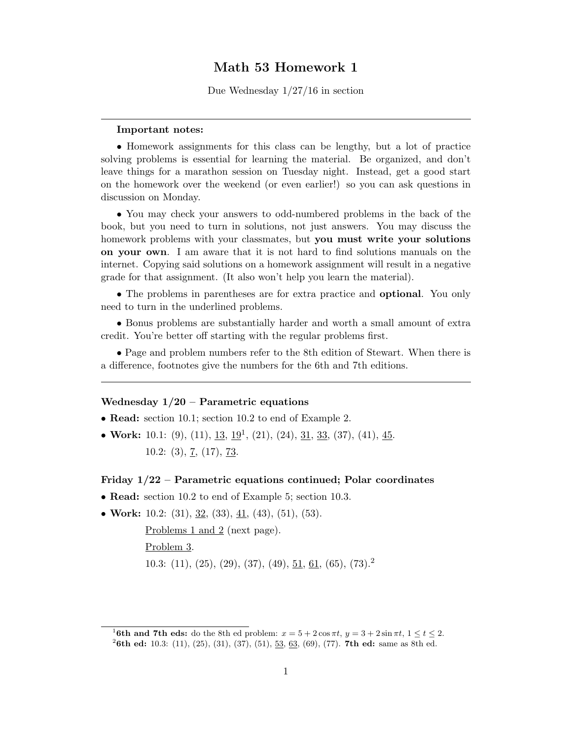## Math 53 Homework 1

Due Wednesday 1/27/16 in section

## Important notes:

• Homework assignments for this class can be lengthy, but a lot of practice solving problems is essential for learning the material. Be organized, and don't leave things for a marathon session on Tuesday night. Instead, get a good start on the homework over the weekend (or even earlier!) so you can ask questions in discussion on Monday.

• You may check your answers to odd-numbered problems in the back of the book, but you need to turn in solutions, not just answers. You may discuss the homework problems with your classmates, but you must write your solutions on your own. I am aware that it is not hard to find solutions manuals on the internet. Copying said solutions on a homework assignment will result in a negative grade for that assignment. (It also won't help you learn the material).

• The problems in parentheses are for extra practice and optional. You only need to turn in the underlined problems.

• Bonus problems are substantially harder and worth a small amount of extra credit. You're better off starting with the regular problems first.

• Page and problem numbers refer to the 8th edition of Stewart. When there is a difference, footnotes give the numbers for the 6th and 7th editions.

## Wednesday  $1/20$  – Parametric equations

- **Read:** section 10.1; section 10.2 to end of Example 2.
- Work: 10.1: (9), (11), <u>13, 19</u><sup>1</sup>, (21), (24), <u>31, 33</u>, (37), (41), <u>45</u>. 10.2: (3),  $\overline{7}$ , (17),  $\overline{73}$ .

## Friday 1/22 – Parametric equations continued; Polar coordinates

- Read: section 10.2 to end of Example 5; section 10.3.
- Work: 10.2: (31),  $\underline{32}$ , (33),  $\underline{41}$ , (43), (51), (53).

Problems 1 and 2 (next page). Problem 3. 10.3: (11), (25), (29), (37), (49),  $\underline{51}$ ,  $\underline{61}$ , (65), (73).<sup>2</sup>

<sup>&</sup>lt;sup>1</sup>6th and 7th eds: do the 8th ed problem:  $x = 5 + 2\cos \pi t$ ,  $y = 3 + 2\sin \pi t$ ,  $1 \le t \le 2$ .

<sup>&</sup>lt;sup>2</sup>6th ed: 10.3: (11), (25), (31), (37), (51),  $\frac{53}{63}$ , (69), (77). **7th ed:** same as 8th ed.